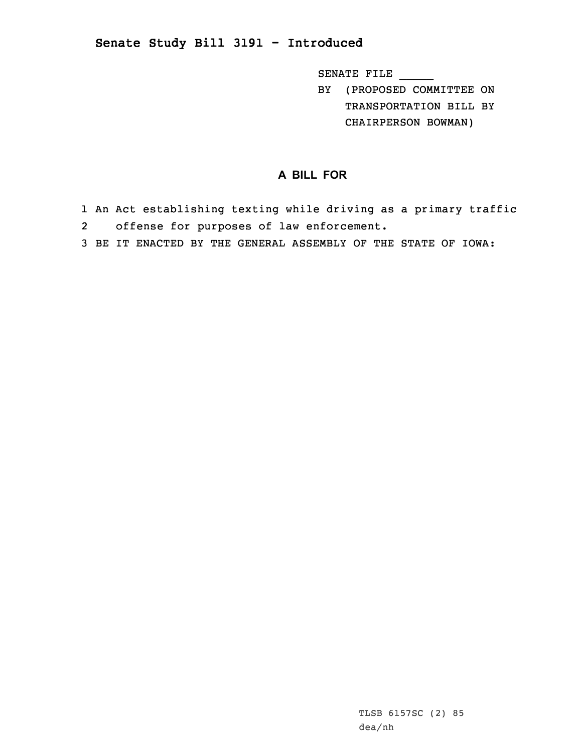## **Senate Study Bill 3191 - Introduced**

SENATE FILE \_\_\_\_\_

BY (PROPOSED COMMITTEE ON TRANSPORTATION BILL BY CHAIRPERSON BOWMAN)

## **A BILL FOR**

- 1 An Act establishing texting while driving as <sup>a</sup> primary traffic 2offense for purposes of law enforcement.
- 3 BE IT ENACTED BY THE GENERAL ASSEMBLY OF THE STATE OF IOWA: